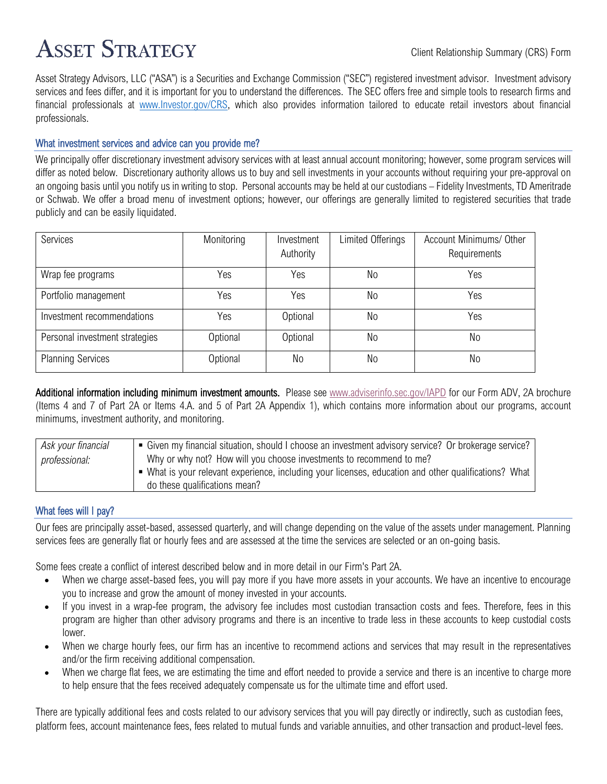# **ASSET STRATEGY**

Asset Strategy Advisors, LLC ("ASA") is a Securities and Exchange Commission ("SEC") registered investment advisor. Investment advisory services and fees differ, and it is important for you to understand the differences.  The SEC offers free and simple tools to research firms and financial professionals at [www.Investor.gov/CRS,](http://www.investor.gov/CRS) which also provides information tailored to educate retail investors about financial professionals.

### What investment services and advice can you provide me?

We principally offer discretionary investment advisory services with at least annual account monitoring; however, some program services will differ as noted below. Discretionary authority allows us to buy and sell investments in your accounts without requiring your pre-approval on an ongoing basis until you notify us in writing to stop. Personal accounts may be held at our custodians – Fidelity Investments, TD Ameritrade or Schwab. We offer a broad menu of investment options; however, our offerings are generally limited to registered securities that trade publicly and can be easily liquidated.

| Services                       | Monitoring | Investment | Limited Offerings | Account Minimums/ Other |
|--------------------------------|------------|------------|-------------------|-------------------------|
|                                |            | Authority  |                   | Requirements            |
| Wrap fee programs              | Yes        | Yes        | No                | Yes                     |
| Portfolio management           | Yes        | Yes        | No                | Yes                     |
| Investment recommendations     | Yes        | Optional   | No                | Yes                     |
| Personal investment strategies | Optional   | Optional   | No                | No                      |
| <b>Planning Services</b>       | Optional   | No         | No                | No                      |

Additional information including minimum investment amounts. Please see [www.adviserinfo.sec.gov/IAPD](http://www.adviserinfo.sec.gov/IAPD) for our Form ADV, 2A brochure (Items 4 and 7 of Part 2A or Items 4.A. and 5 of Part 2A Appendix 1), which contains more information about our programs, account minimums, investment authority, and monitoring.

| Ask your financial | • Given my financial situation, should I choose an investment advisory service? Or brokerage service? |
|--------------------|-------------------------------------------------------------------------------------------------------|
| professional:      | Why or why not? How will you choose investments to recommend to me?                                   |
|                    | • What is your relevant experience, including your licenses, education and other qualifications? What |
|                    | do these qualifications mean?                                                                         |

### What fees will I pay?

Our fees are principally asset-based, assessed quarterly, and will change depending on the value of the assets under management. Planning services fees are generally flat or hourly fees and are assessed at the time the services are selected or an on-going basis.

Some fees create a conflict of interest described below and in more detail in our Firm's Part 2A.

- When we charge asset-based fees, you will pay more if you have more assets in your accounts. We have an incentive to encourage you to increase and grow the amount of money invested in your accounts.
- If you invest in a wrap-fee program, the advisory fee includes most custodian transaction costs and fees. Therefore, fees in this program are higher than other advisory programs and there is an incentive to trade less in these accounts to keep custodial costs lower.
- When we charge hourly fees, our firm has an incentive to recommend actions and services that may result in the representatives and/or the firm receiving additional compensation.
- When we charge flat fees, we are estimating the time and effort needed to provide a service and there is an incentive to charge more to help ensure that the fees received adequately compensate us for the ultimate time and effort used.

There are typically additional fees and costs related to our advisory services that you will pay directly or indirectly, such as custodian fees, platform fees, account maintenance fees, fees related to mutual funds and variable annuities, and other transaction and product-level fees.